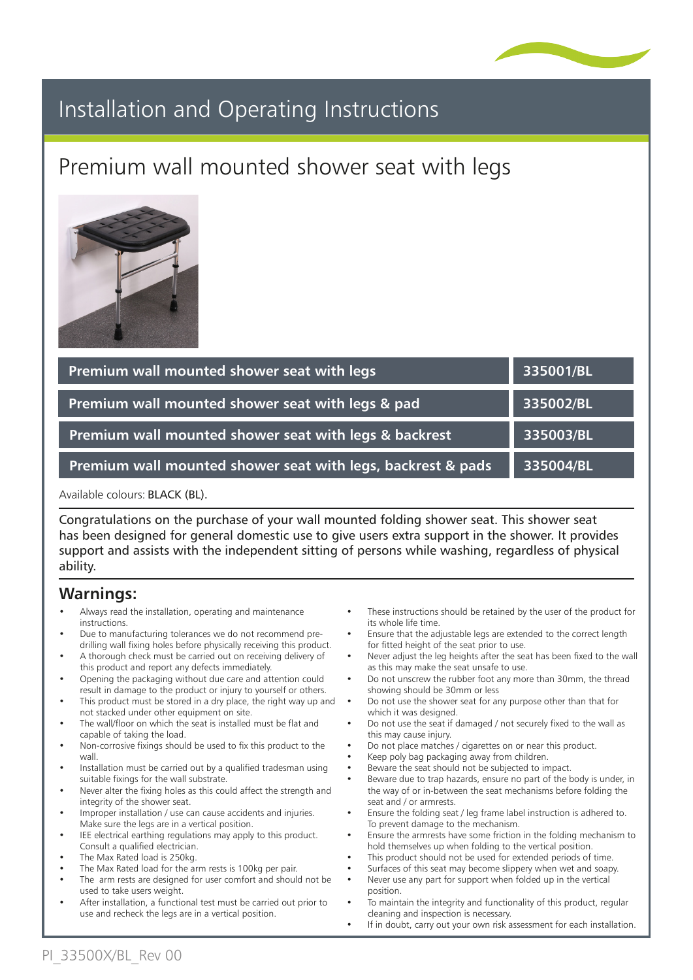

# Installation and Operating Instructions

# Premium wall mounted shower seat with legs



| Premium wall mounted shower seat with legs                  | 335001/BL |
|-------------------------------------------------------------|-----------|
| Premium wall mounted shower seat with legs & pad            | 335002/BL |
| Premium wall mounted shower seat with legs & backrest       | 335003/BL |
| Premium wall mounted shower seat with legs, backrest & pads | 335004/BL |

Available colours: BLACK (BL).

Congratulations on the purchase of your wall mounted folding shower seat. This shower seat has been designed for general domestic use to give users extra support in the shower. It provides support and assists with the independent sitting of persons while washing, regardless of physical ability.

#### **Warnings:**

- Always read the installation, operating and maintenance instructions.
- Due to manufacturing tolerances we do not recommend predrilling wall fixing holes before physically receiving this product.
- A thorough check must be carried out on receiving delivery of this product and report any defects immediately.
- Opening the packaging without due care and attention could result in damage to the product or injury to yourself or others.
- This product must be stored in a dry place, the right way up and not stacked under other equipment on site.
- The wall/floor on which the seat is installed must be flat and capable of taking the load.
- Non-corrosive fixings should be used to fix this product to the wall
- Installation must be carried out by a qualified tradesman using suitable fixings for the wall substrate.
- Never alter the fixing holes as this could affect the strength and integrity of the shower seat.
- Improper installation / use can cause accidents and injuries.
- Make sure the legs are in a vertical position. IEE electrical earthing regulations may apply to this product. Consult a qualified electrician.
- The Max Rated load is 250kg.
- The Max Rated load for the arm rests is 100kg per pair.
- The arm rests are designed for user comfort and should not be used to take users weight.
- After installation, a functional test must be carried out prior to use and recheck the legs are in a vertical position.
- These instructions should be retained by the user of the product for its whole life time.
- Ensure that the adjustable legs are extended to the correct length for fitted height of the seat prior to use.
- Never adjust the leg heights after the seat has been fixed to the wall as this may make the seat unsafe to use.
- Do not unscrew the rubber foot any more than 30mm, the thread showing should be 30mm or less
- Do not use the shower seat for any purpose other than that for which it was designed.
- Do not use the seat if damaged / not securely fixed to the wall as this may cause injury.
- Do not place matches / cigarettes on or near this product.
- Keep poly bag packaging away from children.
- Beware the seat should not be subjected to impact.
- Beware due to trap hazards, ensure no part of the body is under, in the way of or in-between the seat mechanisms before folding the seat and / or armrests.
- Ensure the folding seat / leg frame label instruction is adhered to. To prevent damage to the mechanism.
- Ensure the armrests have some friction in the folding mechanism to hold themselves up when folding to the vertical position.
- This product should not be used for extended periods of time.
- Surfaces of this seat may become slippery when wet and soapy.
- Never use any part for support when folded up in the vertical position.
- To maintain the integrity and functionality of this product, regular cleaning and inspection is necessary.
- If in doubt, carry out your own risk assessment for each installation.